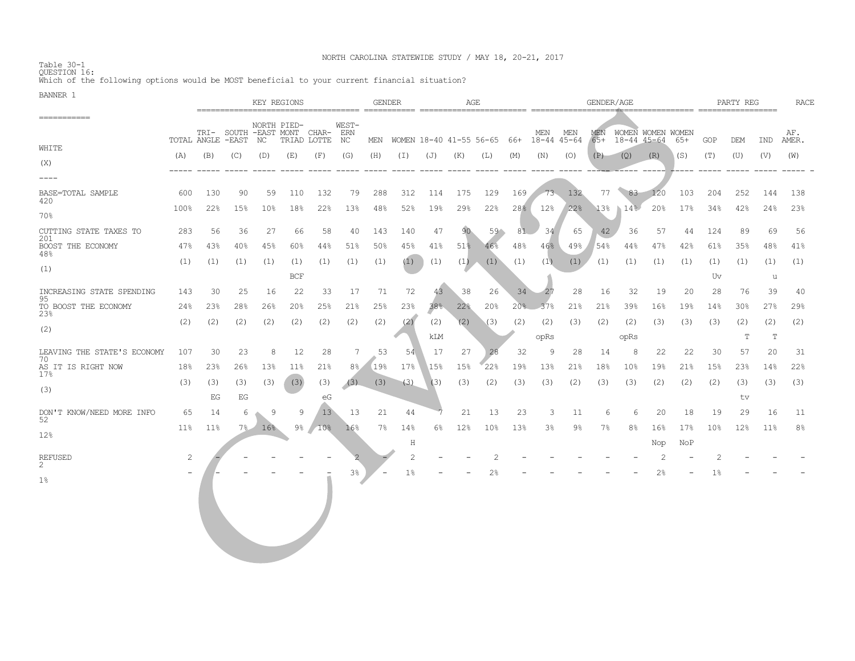NORTH CAROLINA STATEWIDE STUDY / MAY 18, 20-21, 2017 Table 30-1 QUESTION 16: Which of the following options would be MOST beneficial to your current financial situation?

| <u>na maramity tr</u>             | KEY REGIONS |                   |     |                 |                   | AGE<br><b>GENDER</b>                       |                    |       |                   |          | GENDER/AGE |                                                             |     |                |        |       | PARTY REG             |                |     | <b>RACE</b>     |                 |          |                |
|-----------------------------------|-------------|-------------------|-----|-----------------|-------------------|--------------------------------------------|--------------------|-------|-------------------|----------|------------|-------------------------------------------------------------|-----|----------------|--------|-------|-----------------------|----------------|-----|-----------------|-----------------|----------|----------------|
| -----------                       |             | TOTAL ANGLE -EAST |     | NC              | NORTH PIED-       | TRI- SOUTH -EAST MONT CHAR-<br>TRIAD LOTTE | WEST-<br>ERN<br>NC |       |                   |          |            | MEN WOMEN 18-40 41-55 56-65 66+ 18-44 45-64 65+ 18-44 45-64 |     | MEN MEN        |        |       | MEN WOMEN WOMEN WOMEN |                | 65+ | GOP             | DEM             | IND      | AF.<br>AMER.   |
| WHITE                             | (A)         | (B)               | (C) | (D)             | (E)               | (F)                                        | (G)                | (H)   | $(\bot)$          | (J)      | (K)        | (L)                                                         | (M) | (N)            | (O)    | (P)   | (Q)                   | (R)            | (S) | (T)             | (U)             | (V)      | (W)            |
| (X)                               |             |                   |     |                 |                   |                                            |                    |       |                   | $------$ | $-----$    |                                                             |     |                |        |       |                       |                |     |                 |                 |          |                |
| $--- - -$                         |             |                   |     |                 |                   |                                            |                    |       |                   |          |            |                                                             |     |                |        |       |                       |                |     |                 |                 |          |                |
| BASE=TOTAL SAMPLE<br>420          | 600         | 130               | 90  | 59              | 110               | 132                                        | 79                 | 288   | 312               | 114      | 175        | 129                                                         | 169 |                | 73 132 |       | 77 83 120             |                | 103 | 204             | 252             | 144      | 138            |
| 70%                               | 100%        | 22%               | 15% | 10 <sup>°</sup> | 18%               | 22%                                        | 13%                | 48%   | 52%               | 19%      | 29%        | 22%                                                         | 28% | 12%            | 22%    | 13%   | 14%                   | 20%            | 17% | 34%             | 42%             | 24%      | 23%            |
| CUTTING STATE TAXES TO<br>201     | 283         | 56                | 36  | 27              | 66                | 58                                         | 40                 | 143   | 140               | 47       | 90         | $59^{\circ}$                                                | 81  | 34             | 65     | 42    | 36                    | 57             | 44  | 124             | 89              | 69       | 56             |
| BOOST THE ECONOMY<br>48%          | 47%         | 43%               | 40% | 45%             | 60%               | 44%                                        | 51%                | 50%   | 45%               | 41%      | 51%        | 46%                                                         | 48% | 46%            | 49%    | 54%   | 44%                   | 47%            | 42% | 61%             | 35%             | 48%      | 41%            |
| (1)                               | (1)         | (1)               | (1) | (1)             | (1)<br><b>BCF</b> | (1)                                        | (1)                | (1)   | (1)               | (1)      | (1)        | (1)                                                         | (1) | (1)            | (1)    | (1)   | (1)                   | (1)            | (1) | (1)<br>Uv       | (1)             | (1)<br>u | (1)            |
|                                   |             |                   |     |                 |                   |                                            |                    |       |                   |          |            |                                                             |     |                |        |       |                       |                |     |                 |                 |          |                |
| INCREASING STATE SPENDING<br>95   | 143         | 30                | 25  | 16              | 22                | 33                                         | 17                 | 71    | 72                | 43       | 38         | 26                                                          | 34  | $-27$          | 28     | 16    | 32                    | 19             | 20  | 28              | 76              | 39       | 40             |
| TO BOOST THE ECONOMY<br>23%       | 24%         | 23%               | 28% | 26%             | 20%               | 25%                                        | 21%                | 25%   | 23%               | 38%      | 22%        | 20%                                                         |     | $20\%$ 37%     | 21%    | 21%   | 39%                   | 16%            | 19% | 14%             | 30 <sub>8</sub> | 27%      | 29%            |
| (2)                               | (2)         | (2)               | (2) | (2)             | (2)               | (2)                                        | (2)                | (2)   | (2)               | (2)      | (2)        | (3)                                                         | (2) | (2)            | (3)    | (2)   | (2)                   | (3)            | (3) | (3)             | (2)             | (2)      | (2)            |
|                                   |             |                   |     |                 |                   |                                            |                    |       |                   | kLM      |            |                                                             |     | opRs           |        |       | opRs                  |                |     |                 | Т               | Т        |                |
| LEAVING THE STATE'S ECONOMY<br>70 | 107         | 30                | 23  | 8               | 12                | 28                                         | 7                  | 53    | -54               | 17       | 27         | 28                                                          | 32  | 9              | 28     | 14    | 8                     | 22             | 22  | 30              | 57              | 20       | 31             |
| AS IT IS RIGHT NOW<br>17%         | 18%         | 23%               | 26% | 13%             | 11%               | 21%                                        | 8 <sup>°</sup>     | 19%   | 17%               | 15%      | 15%        | 22%                                                         | 19% | 13%            | 21%    | 18%   | 10 <sup>°</sup>       | 19%            | 21% | 15%             | 23 <sup>8</sup> | 14%      | 22%            |
|                                   | (3)         | (3)               | (3) | (3)             | (3)               | (3)                                        |                    |       | $(3)$ $(3)$ $(3)$ | (3)      | (3)        | (2)                                                         | (3) | (3)            | (2)    | (3)   | (3)                   | (2)            | (2) | (2)             | (3)             | (3)      | (3)            |
| (3)                               |             | EG                | EG  |                 |                   | eG                                         |                    |       |                   |          |            |                                                             |     |                |        |       |                       |                |     |                 | tv              |          |                |
| DON'T KNOW/NEED MORE INFO         | 65          | 14                | 6   | 9               | 9                 | 13                                         | 13                 | 21    | 44                |          | 21         | 13                                                          | 23  | 3              | 11     | 6     | 6                     | 20             | 18  | 19              | 29              | 16       | 11             |
| 52                                | $11\%$      | $11\%$            | 7.8 | 16%             |                   | $9\frac{6}{10\%}$                          | 16%                | $7\%$ | 14%               | $6\%$    | 12%        | 10 <sup>°</sup>                                             | 13% | 3 <sup>°</sup> | 9%     | $7\%$ | 8 <sup>°</sup>        | 16%            | 17% | 10 <sup>°</sup> | 12%             | $11\%$   | 8 <sup>°</sup> |
| 12%                               |             |                   |     |                 |                   |                                            |                    |       | H                 |          |            |                                                             |     |                |        |       |                       | Nop            | NoP |                 |                 |          |                |
| <b>REFUSED</b>                    | 2           |                   |     |                 |                   |                                            |                    |       | $\overline{c}$    |          |            | 2                                                           |     |                |        |       |                       | $\overline{2}$ |     | 2               |                 |          |                |
| $\overline{2}$                    |             |                   |     |                 |                   |                                            | 3 <sup>°</sup>     |       | $1\%$             |          |            | 2 <sup>°</sup>                                              |     |                |        |       |                       | $2\%$          |     | $1\%$           |                 |          |                |
| $1\%$                             |             |                   |     |                 |                   |                                            |                    |       |                   |          |            |                                                             |     |                |        |       |                       |                |     |                 |                 |          |                |